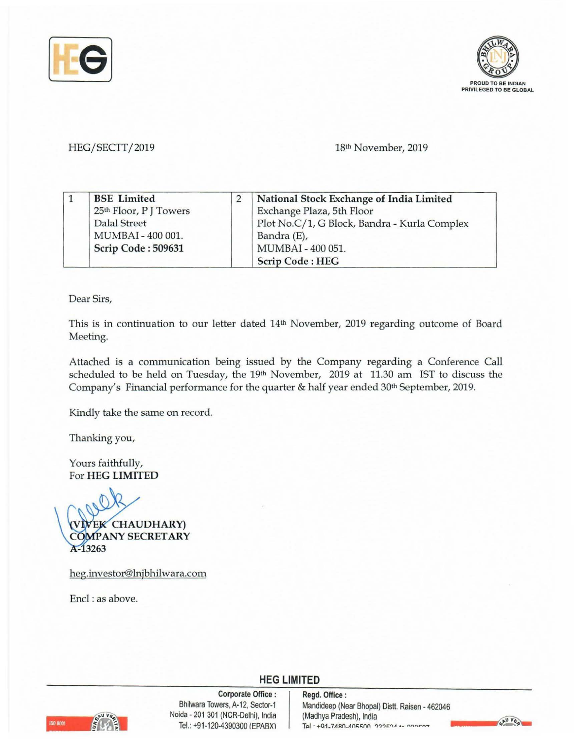



## HEG/SECTT/2019

18th November, 2019

|  | <b>BSE</b> Limited                 | National Stock Exchange of India Limited     |
|--|------------------------------------|----------------------------------------------|
|  | 25 <sup>th</sup> Floor, P J Towers | Exchange Plaza, 5th Floor                    |
|  | <b>Dalal Street</b>                | Plot No.C/1, G Block, Bandra - Kurla Complex |
|  | MUMBAI - 400 001.                  | Bandra (E),                                  |
|  | Scrip Code: 509631                 | MUMBAI - 400 051.                            |
|  |                                    | <b>Scrip Code: HEG</b>                       |

Dear Sirs,

This is in continuation to our letter dated 14th November, 2019 regarding outcome of Board Meeting.

Attached is a communication being issued by the Company regarding a Conference Call scheduled to be held on Tuesday, the 19th November, 2019 at 11.30 am IST to discuss the Company's Financial performance for the quarter & half year ended 30th September, 2019.

Kindly take the same on record.

Thanking you,

Yours faithfully, For **HEG LIMITED** 

**VIVEK CHAUDHARY**) **COMPANY SECRETARY** A-13263

heg.investor@lnjbhilwara.com

Encl : as above.



Bhilwara 1<br>
Bhilwara 1<br>
Noida - 2013<br>
Tel.: +91-1 **Corporate Office** : Bhilwara Towers, A-12, Sector-1 Noida - 201 301 (NCR-Delhi), India Tel.: +91-120-4390300 /EPABXl

## **HEG LIMITED**

**Regd. Office** : Mandideep (Near Bhopal) Distt. Raisen - 462046 (Madhya Pradesh), India Tal · +01.7180.105500 000501 + 000507